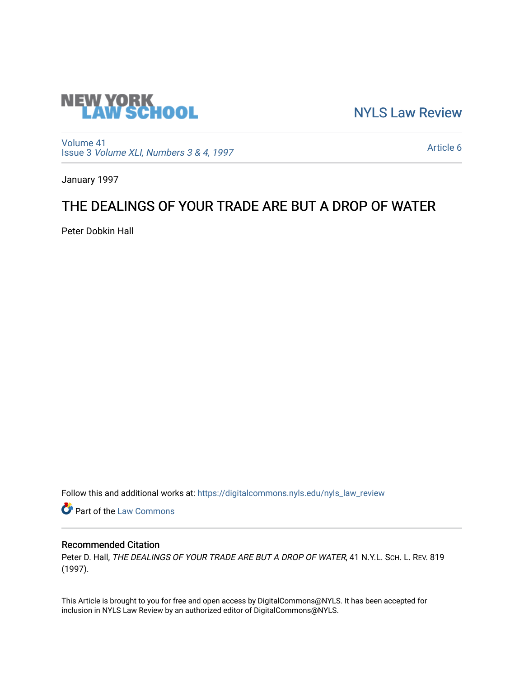

[NYLS Law Review](https://digitalcommons.nyls.edu/nyls_law_review) 

[Volume 41](https://digitalcommons.nyls.edu/nyls_law_review/vol41) Issue 3 [Volume XLI, Numbers 3 & 4, 1997](https://digitalcommons.nyls.edu/nyls_law_review/vol41/iss3)

[Article 6](https://digitalcommons.nyls.edu/nyls_law_review/vol41/iss3/6) 

January 1997

## THE DEALINGS OF YOUR TRADE ARE BUT A DROP OF WATER

Peter Dobkin Hall

Follow this and additional works at: [https://digitalcommons.nyls.edu/nyls\\_law\\_review](https://digitalcommons.nyls.edu/nyls_law_review?utm_source=digitalcommons.nyls.edu%2Fnyls_law_review%2Fvol41%2Fiss3%2F6&utm_medium=PDF&utm_campaign=PDFCoverPages) 

**Part of the [Law Commons](https://network.bepress.com/hgg/discipline/578?utm_source=digitalcommons.nyls.edu%2Fnyls_law_review%2Fvol41%2Fiss3%2F6&utm_medium=PDF&utm_campaign=PDFCoverPages)** 

## Recommended Citation

Peter D. Hall, THE DEALINGS OF YOUR TRADE ARE BUT A DROP OF WATER, 41 N.Y.L. SCH. L. REV. 819 (1997).

This Article is brought to you for free and open access by DigitalCommons@NYLS. It has been accepted for inclusion in NYLS Law Review by an authorized editor of DigitalCommons@NYLS.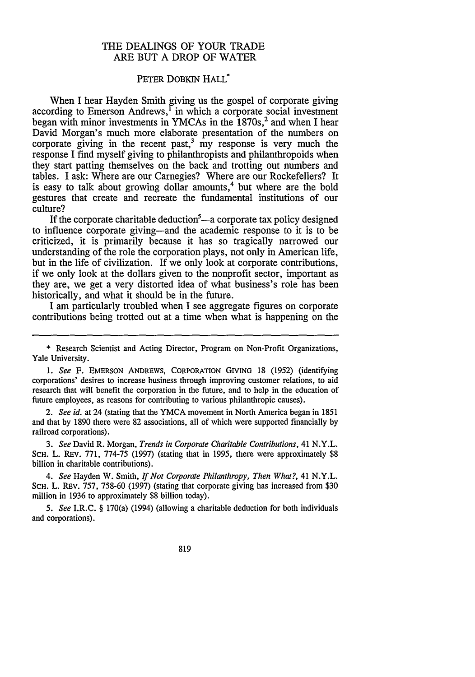## THE DEALINGS OF YOUR TRADE ARE **BUT A** DROP OF WATER

## PETER DOBKIN HALL<sup>\*</sup>

When I hear Hayden Smith giving us the gospel of corporate giving according to Emerson Andrews,<sup>1</sup> in which a corporate social investment began with minor investments in YMCAs in the 1870s,<sup>2</sup> and when I hear David Morgan's much more elaborate presentation of the numbers on corporate giving in the recent past, $3 \text{ my}$  response is very much the response **I** find myself giving to philanthropists and philanthropoids when they start patting themselves on the back and trotting out numbers and tables. **I** ask: Where are our Carnegies? Where are our Rockefellers? It is easy to talk about growing dollar amounts,<sup>4</sup> but where are the bold gestures that create and recreate the fundamental institutions of our culture?

If the corporate charitable deduction<sup>5</sup>—a corporate tax policy designed to influence corporate giving-and the academic response to it is to be criticized, it is primarily because it has so tragically narrowed our understanding of the role the corporation plays, not only in American life, but in the life of civilization. If we only look at corporate contributions, if we only look at the dollars given to the nonprofit sector, important as they are, we get a very distorted idea of what business's role has been historically, and what it should be in the future.

**I** am particularly troubled when **I** see aggregate figures on corporate contributions being trotted out at a time when what is happening on the

*1. See* F. **EMERSON ANDREWS,** CORPORATION GIVING **18 (1952)** (identifying corporations' desires to increase business through improving customer relations, to aid research that **will** benefit the corporation in the future, and to help in the education of future employees, as reasons for contributing to various philanthropic causes).

*2. See id.* at 24 (stating that the YMCA movement in North America began in **1851** and that **by 1890** there were **82** associations, all of which were supported financially **by** railroad corporations).

*3. See* David R. Morgan, *Trends in Corporate Charitable Contributions,* 41 N.Y.L. **SCH.** L. REv. **771, 774-75 (1997)** (stating that in **1995,** there were approximately **\$8** billion in charitable contributions).

*4. See* Hayden **W.** Smith, *If Not Corporate Philanthropy, Then What?,* 41 N.Y.L. **SCH.** L. REv. **757, 758-60 (1997)** (stating that corporate giving has increased from **\$30** million in **1936** to approximately **\$8** billion today).

*5. See* I.R.C. **§** 170(a) (1994) (allowing a charitable deduction for both individuals and corporations).

**<sup>\*</sup>** Research Scientist and Acting Director, Program on Non-Profit Organizations, Yale University.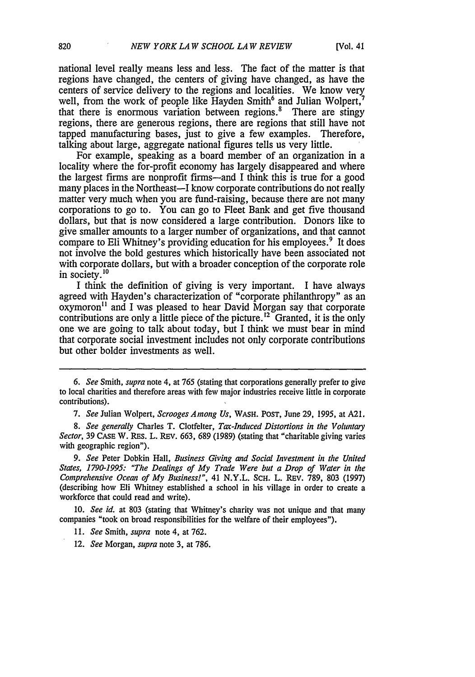national level really means less and less. The fact of the matter is that regions have changed, the centers of giving have changed, as have the centers of service delivery to the regions and localities. We know very well, from the work of people like Hayden Smith<sup>6</sup> and Julian Wolpert.<sup>7</sup> that there is enormous variation between regions.<sup>8</sup> There are stingy regions, there are generous regions, there are regions that still have not tapped manufacturing bases, just to give a few examples. Therefore, talking about large, aggregate national figures tells us very little.

For example, speaking as a board member of an organization in a locality where the for-profit economy has largely disappeared and where the largest firms are nonprofit firms-and I think this is true for a good many places in the Northeast—I know corporate contributions do not really matter very much when you are fund-raising, because there are not many corporations to go to. You can go to Fleet Bank and get five thousand dollars, but that is now considered a large contribution. Donors like to give smaller amounts to a larger number of organizations, and that cannot compare to Eli Whitney's providing education for his employees. 9 It does not involve the bold gestures which historically have been associated not with corporate dollars, but with a broader conception of the corporate role in society.<sup>10</sup>

I think the definition of giving is very important. I have always agreed with Hayden's characterization of "corporate philanthropy" as an oxymoron<sup>11</sup> and I was pleased to hear David Morgan say that corporate contributions are only a little piece of the picture.<sup>12</sup> Granted, it is the only one we are going to talk about today, but I think we must bear in mind that corporate social investment includes not only corporate contributions but other bolder investments as well.

10. *See id.* at 803 (stating that Whitney's charity was not unique and that many companies "took on broad responsibilities for the welfare of their employees").

*<sup>6.</sup> See* Smith, *supra* note 4, at 765 (stating that corporations generally prefer to give to local charities and therefore areas with few major industries receive little in corporate contributions).

*<sup>7.</sup> See* Julian Wolpert, *Scrooges Among Us,* WASH. POST, June 29, 1995, at A21.

*<sup>8.</sup> See generally* Charles T. Clotfelter, *Tax-Induced Distortions in the Voluntary Sector*, 39 CASE W. RES. L. REV. 663, 689 (1989) (stating that "charitable giving varies with geographic region").

*<sup>9.</sup> See* Peter Dobkin Hall, *Business Giving and Social Investment in the United States, 1790-1995: "The Dealings of My Trade Were but a Drop of Water in the Comprehensive Ocean of My Business!",* 41 N.Y.L. SCH. L. REv. 789, 803 (1997) (describing how Eli Whitney established a school in his village in order to create a workforce that could read and write).

*<sup>11.</sup> See* Smith, *supra* note 4, at 762.

<sup>12.</sup> *See* Morgan, *supra* note 3, at 786.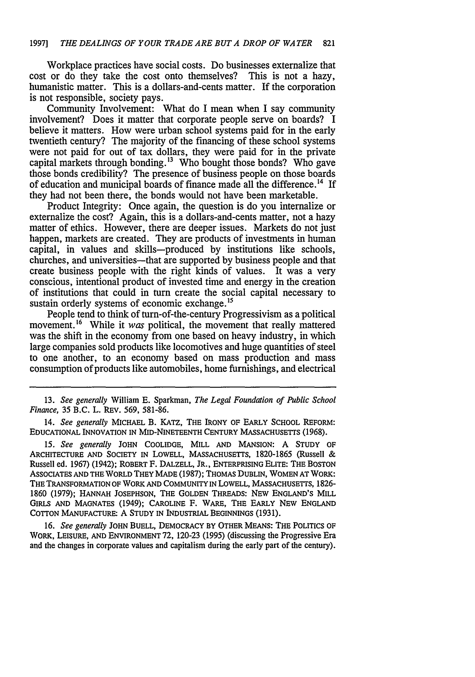Workplace practices have social costs. Do businesses externalize that cost or do they take the cost onto themselves? This is not a hazy, humanistic matter. This is a dollars-and-cents matter. If the corporation is not responsible, society pays.

Community Involvement: What do I mean when I say community involvement? Does it matter that corporate people serve on boards? I believe it matters. How were urban school systems paid for in the early twentieth century? The majority of the financing of these school systems were not paid for out of tax dollars, they were paid for in the private capital markets through bonding.<sup>13</sup> Who bought those bonds? Who gave those bonds credibility? The presence of business people on those boards of education and municipal boards of finance made all the difference.<sup>14</sup> If they had not been there, the bonds would not have been marketable.

Product Integrity: Once again, the question is do you internalize or externalize the cost? Again, this is a dollars-and-cents matter, not a hazy matter of ethics. However, there are deeper issues. Markets do not just happen, markets are created. They are products of investments in human capital, in values and skills-produced by institutions like schools, churches, and universities-that are supported by business people and that create business people with the right kinds of values. It was a very conscious, intentional product of invested time and energy in the creation of institutions that could in turn create the social capital necessary to sustain orderly systems of economic exchange.<sup>15</sup>

People tend to think of turn-of-the-century Progressivism as a political movement.<sup>16</sup> While it was political, the movement that really mattered was the shift in the economy from one based on heavy industry, in which large companies sold products like locomotives and huge quantities of steel to one another, to an economy based on mass production and mass consumption of products like automobiles, home furnishings, and electrical

13. *See generally* William E. Sparkman, *The Legal Foundation of Public School Finance,* 35 B.C. L. REV. 569, 581-86.

14. *See generally* **MICHAEL** B. **KATz, THE** IRONY **OF** EARLY **SCHOOL** REFORM: **EDUCATIONAL INNOVATION IN MID-NINETEENTH CENTURY MASSACHUSETTS** (1968).

**15.** *See generally* **JOHN COOLIDGE,** MILL **AND MANSION:** A STUDY OF **ARCHITECTURE AND SOCIETY** IN LOWELL, **MASSACHUSETTS,** 1820-1865 (Russell & Russell ed. 1967) (1942); ROBERT F. DALZELL, **JR.,** ENTERPRISING **ELITE:** THE **BOSTON** ASSOCIATES **AND THE** WORLD **THEY MADE** (1987); THOMAS DUBLIN, WOMEN **AT** WORK: **THE** TRANSFORMATION OF WORK **AND** COMMUNITY **IN** LOWELL, MASSACHUSETTS, 1826- 1860 (1979); **HANNAH JOSEPHSON, THE GOLDEN** THREADS: **NEW ENGLAND'S** MILL GIRLS **AND MAGNATES** (1949); **CAROLINE** F. WARE, **THE EARLY NEW ENGLAND COTTON MANUFACTURE:** A **STUDY** IN INDUSTRIAL **BEGINNINGS** (1931).

16. *See generally* **JOHN BUELL,** DEMOCRACY **BY** OTHER **MEANS: THE POLITICS** OF WORK, **LEISURE, AND ENVIRONMENT** 72, 120-23 **(1995)** (discussing the Progressive Era and the changes in corporate values and capitalism during the early part of the century).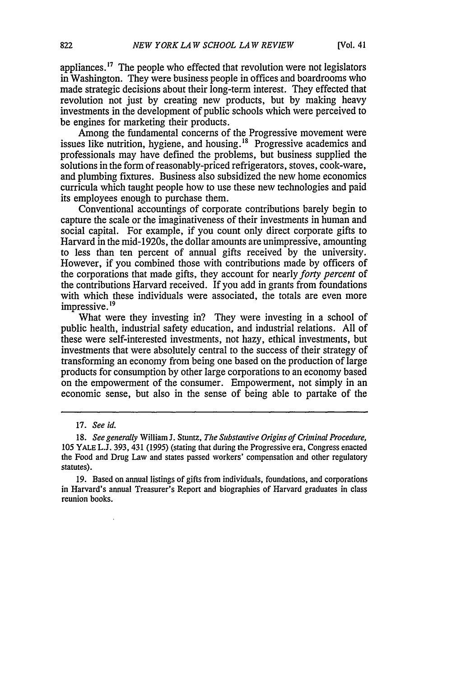appliances.<sup>17</sup> The people who effected that revolution were not legislators in Washington. They were business people in offices and boardrooms who made strategic decisions about their long-term interest. They effected that revolution not just by creating new products, but by making heavy investments in the development of public schools which were perceived to be engines for marketing their products.

Among the fundamental concerns of the Progressive movement were issues like nutrition, hygiene, and housing,  $18$  Progressive academics and professionals may have defined the problems, but business supplied the solutions in the form of reasonably-priced refrigerators, stoves, cook-ware, and plumbing fixtures. Business also subsidized the new home economics curricula which taught people how to use these new technologies and paid its employees enough to purchase them.

Conventional accountings of corporate contributions barely begin to capture the scale or the imaginativeness of their investments in human and social capital. For example, if you count only direct corporate gifts to Harvard in the mid-1920s, the dollar amounts are unimpressive, amounting to less than ten percent of annual gifts received by the university. However, if you combined those with contributions made by officers of the corporations that made gifts, they account for nearly *forty percent* of the contributions Harvard received. If you add in grants from foundations with which these individuals were associated, the totals are even more impressive.<sup>19</sup>

What were they investing in? They were investing in a school of public health, industrial safety education, and industrial relations. All of these were self-interested investments, not hazy, ethical investments, but investments that were absolutely central to the success of their strategy of transforming an economy from being one based on the production of large products for consumption by other large corporations to an economy based on the empowerment of the consumer. Empowerment, not simply in an economic sense, but also in the sense of being able to partake of the

<sup>17.</sup> *See id.*

<sup>18.</sup> *See generally* William J. Stuntz, *The Substantive Origins of Criminal Procedure,* 105 YALE L.J. 393, 431 (1995) (stating that during the Progressive era, Congress enacted the Food and Drug Law and states passed workers' compensation and other regulatory statutes).

<sup>19.</sup> Based on annual listings of gifts from individuals, foundations, and corporations in Harvard's annual Treasurer's Report and biographies of Harvard graduates in class reunion books.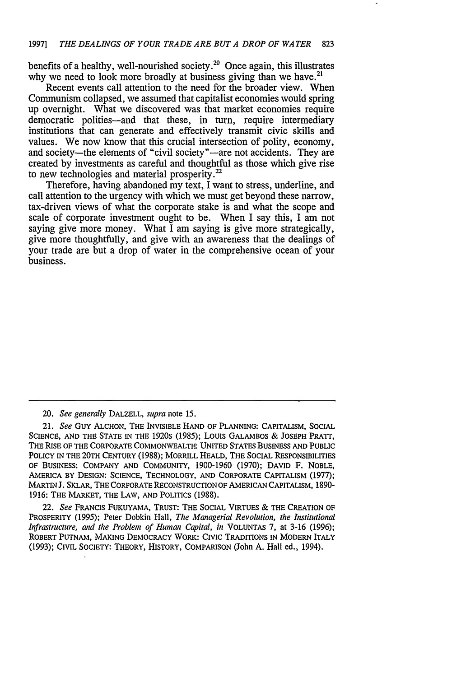benefits of a healthy, well-nourished society.<sup>20</sup> Once again, this illustrates why we need to look more broadly at business giving than we have.<sup>21</sup>

Recent events call attention to the need for the broader view. When Communism collapsed, we assumed that capitalist economies would spring up overnight. What we discovered was that market economies require democratic polities-and that these, in turn, require intermediary institutions that can generate and effectively transmit civic skills and values. We now know that this crucial intersection of polity, economy, and society-the elements of "civil society"-are not accidents. They are created by investments as careful and thoughtful as those which give rise to new technologies and material prosperity.<sup>22</sup>

Therefore, having abandoned my text, I want to stress, underline, and call attention to the urgency with which we must get beyond these narrow, tax-driven views of what the corporate stake is and what the scope and scale of corporate investment ought to be. When I say this, I am not saying give more money. What I am saying is give more strategically, give more thoughtfully, and give with an awareness that the dealings of your trade are but a drop of water in the comprehensive ocean of your business.

20. *See generally* DALZELL, *supra* note 15.

21. *See* GUY ALCHON, THE INVISIBLE **HAND** OF PLANNING: CAPITALISM, SOCIAL **SCIENCE,** AND THE **STATE** IN THE 1920s (1985); Louis GALAMBOS & JOSEPH PRATT, THE RISE OF THE CORPORATE COMMONWEALTH: UNITED STATES BUSINESS **AND** PUBLIC POLICY IN THE 20TH CENTURY (1988); MORRILL HEALD, THE SOCIAL RESPONSIBILITIES OF BUSINESS: COMPANY AND COMMUNITY, 1900-1960 (1970); DAVID F. NOBLE, AMERICA BY DESIGN: SCIENCE, TECHNOLOGY, **AND** CORPORATE CAPITALISM (1977); MARTIN **J.** SKLAR, THE CORPORATE RECONSTRUCTION OF AMERICAN CAPITALISM, 1890- **1916:** THE MARKET, THE LAW, AND POLITICS (1988).

22. *See* FRANCIS FUKUYAMA, TRUST: THE SOCIAL VIRTUES *&* THE CREATION OF PROSPERITY (1995); Peter Dobkin Hall, *The Managerial Revolution, the Institutional Infrastructure, and the Problem of Human Capital, in* VOLUNTAS **7,** at 3-16 (1996); ROBERT PUTNAM, MAKING DEMOCRACY WORK: CIVIC TRADITIONS IN MODERN ITALY (1993); CIVIL SOCIETY: THEORY, HISTORY, COMPARISON (John A. Hall ed., 1994).